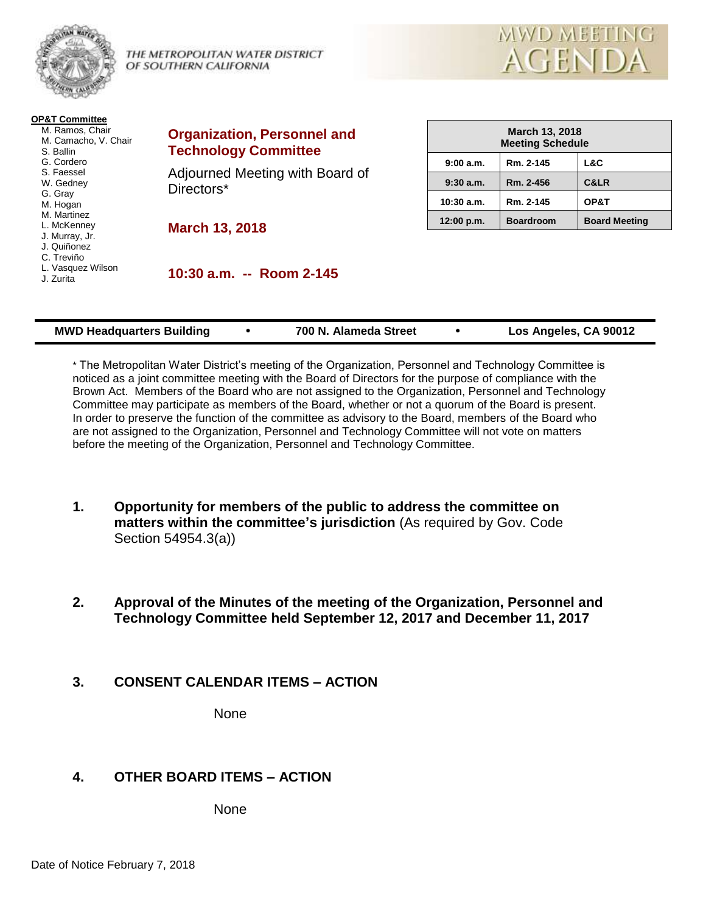

THE METROPOLITAN WATER DISTRICT OF SOUTHERN CALIFORNIA



| <b>OP&amp;T Committee</b><br>M. Ramos, Chair<br>M. Camacho, V. Chair<br>S. Ballin | <b>Organization, Personnel and</b><br><b>Technology Committee</b> |              | <b>March 13, 2018</b><br><b>Meeting Schedule</b> |                      |  |
|-----------------------------------------------------------------------------------|-------------------------------------------------------------------|--------------|--------------------------------------------------|----------------------|--|
| G. Cordero                                                                        |                                                                   | 9:00a.m.     | Rm. 2-145                                        | L&C                  |  |
| S. Faessel<br>W. Gedney                                                           | Adjourned Meeting with Board of<br>Directors*                     | 9:30a.m.     | Rm. 2-456                                        | C&LR                 |  |
| G. Gray<br>M. Hogan                                                               |                                                                   | $10:30$ a.m. | Rm. 2-145                                        | OP&T                 |  |
| M. Martinez<br>L. McKenney                                                        | <b>March 13, 2018</b>                                             | 12:00 p.m.   | <b>Boardroom</b>                                 | <b>Board Meeting</b> |  |
| J. Murray, Jr.<br>J. Quiñonez<br>C. Treviño<br>L. Vasquez Wilson<br>J. Zurita     | 10:30 a.m. -- Room 2-145                                          |              |                                                  |                      |  |

| Los Angeles, CA 90012<br><b>MWD Headquarters Building</b><br>700 N. Alameda Street |  |
|------------------------------------------------------------------------------------|--|
|------------------------------------------------------------------------------------|--|

\* The Metropolitan Water District's meeting of the Organization, Personnel and Technology Committee is noticed as a joint committee meeting with the Board of Directors for the purpose of compliance with the Brown Act. Members of the Board who are not assigned to the Organization, Personnel and Technology Committee may participate as members of the Board, whether or not a quorum of the Board is present. In order to preserve the function of the committee as advisory to the Board, members of the Board who are not assigned to the Organization, Personnel and Technology Committee will not vote on matters before the meeting of the Organization, Personnel and Technology Committee.

- **1. Opportunity for members of the public to address the committee on matters within the committee's jurisdiction** (As required by Gov. Code Section 54954.3(a))
- **2. Approval of the Minutes of the meeting of the Organization, Personnel and Technology Committee held September 12, 2017 and December 11, 2017**

## **3. CONSENT CALENDAR ITEMS – ACTION**

None

# **4. OTHER BOARD ITEMS – ACTION**

None